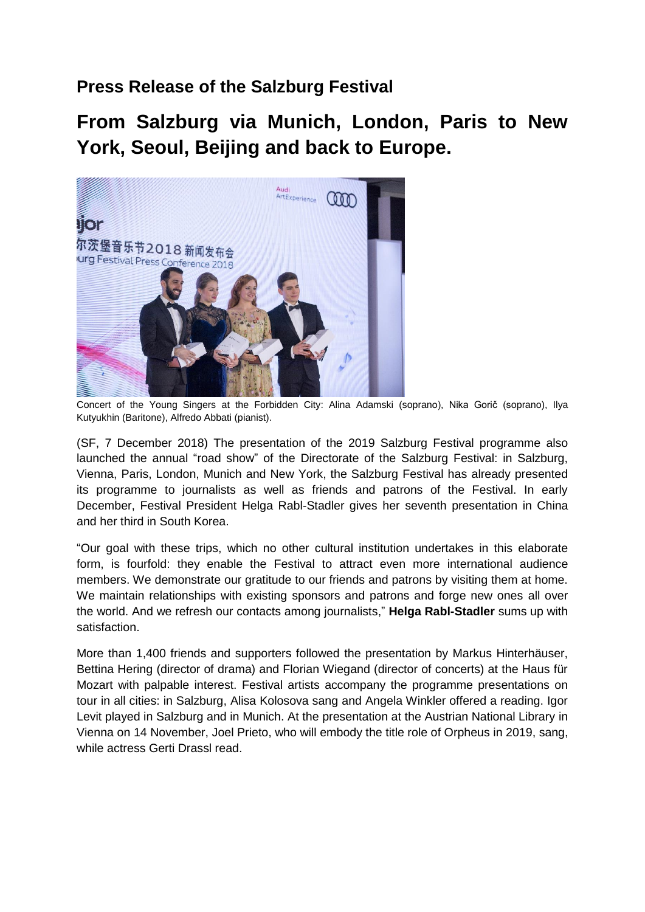# **Press Release of the Salzburg Festival**

**From Salzburg via Munich, London, Paris to New York, Seoul, Beijing and back to Europe.** 



Concert of the Young Singers at the Forbidden City: Alina Adamski (soprano), Nika Gorič (soprano), Ilya Kutyukhin (Baritone), Alfredo Abbati (pianist).

(SF, 7 December 2018) The presentation of the 2019 Salzburg Festival programme also launched the annual "road show" of the Directorate of the Salzburg Festival: in Salzburg, Vienna, Paris, London, Munich and New York, the Salzburg Festival has already presented its programme to journalists as well as friends and patrons of the Festival. In early December, Festival President Helga Rabl-Stadler gives her seventh presentation in China and her third in South Korea.

"Our goal with these trips, which no other cultural institution undertakes in this elaborate form, is fourfold: they enable the Festival to attract even more international audience members. We demonstrate our gratitude to our friends and patrons by visiting them at home. We maintain relationships with existing sponsors and patrons and forge new ones all over the world. And we refresh our contacts among journalists," **Helga Rabl-Stadler** sums up with satisfaction.

More than 1,400 friends and supporters followed the presentation by Markus Hinterhäuser, Bettina Hering (director of drama) and Florian Wiegand (director of concerts) at the Haus für Mozart with palpable interest. Festival artists accompany the programme presentations on tour in all cities: in Salzburg, Alisa Kolosova sang and Angela Winkler offered a reading. Igor Levit played in Salzburg and in Munich. At the presentation at the Austrian National Library in Vienna on 14 November, Joel Prieto, who will embody the title role of Orpheus in 2019, sang, while actress Gerti Drassl read.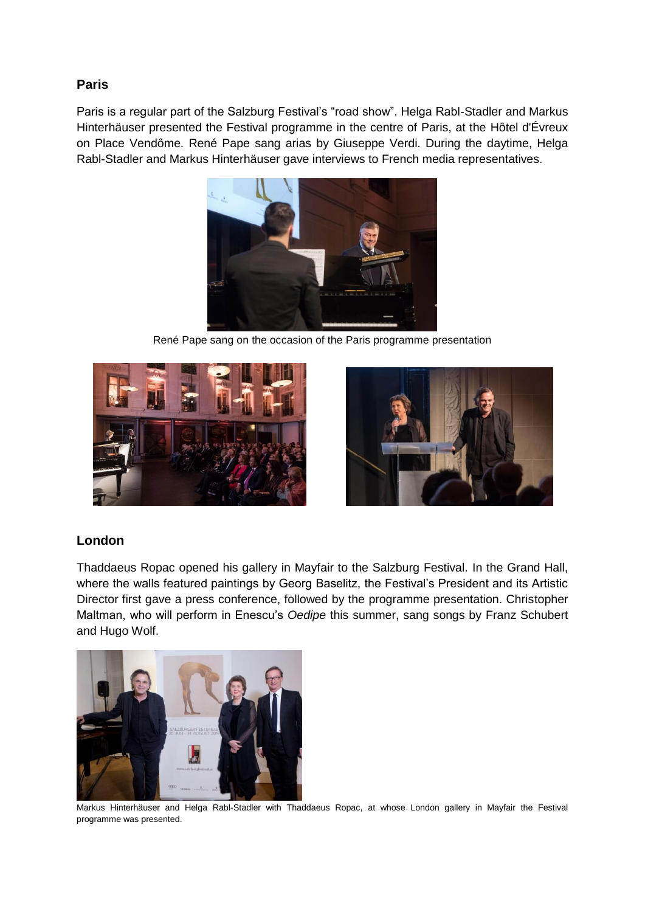## **Paris**

Paris is a regular part of the Salzburg Festival's "road show". Helga Rabl-Stadler and Markus Hinterhäuser presented the Festival programme in the centre of Paris, at the Hôtel d'Évreux on Place Vendôme. René Pape sang arias by Giuseppe Verdi. During the daytime, Helga Rabl-Stadler and Markus Hinterhäuser gave interviews to French media representatives.



René Pape sang on the occasion of the Paris programme presentation





### **London**

Thaddaeus Ropac opened his gallery in Mayfair to the Salzburg Festival. In the Grand Hall, where the walls featured paintings by Georg Baselitz, the Festival's President and its Artistic Director first gave a press conference, followed by the programme presentation. Christopher Maltman, who will perform in Enescu's *Oedipe* this summer, sang songs by Franz Schubert and Hugo Wolf.



Markus Hinterhäuser and Helga Rabl-Stadler with Thaddaeus Ropac, at whose London gallery in Mayfair the Festival programme was presented.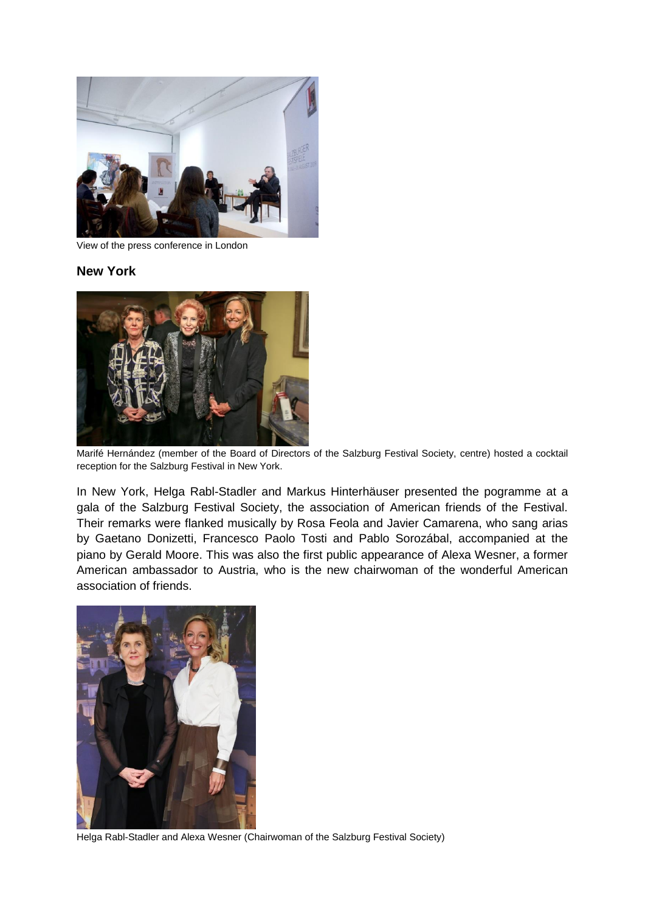

View of the press conference in London

#### **New York**



Marifé Hernández (member of the Board of Directors of the Salzburg Festival Society, centre) hosted a cocktail reception for the Salzburg Festival in New York.

In New York, Helga Rabl-Stadler and Markus Hinterhäuser presented the pogramme at a gala of the Salzburg Festival Society, the association of American friends of the Festival. Their remarks were flanked musically by Rosa Feola and Javier Camarena, who sang arias by Gaetano Donizetti, Francesco Paolo Tosti and Pablo Sorozábal, accompanied at the piano by Gerald Moore. This was also the first public appearance of Alexa Wesner, a former American ambassador to Austria, who is the new chairwoman of the wonderful American association of friends.



Helga Rabl-Stadler and Alexa Wesner (Chairwoman of the Salzburg Festival Society)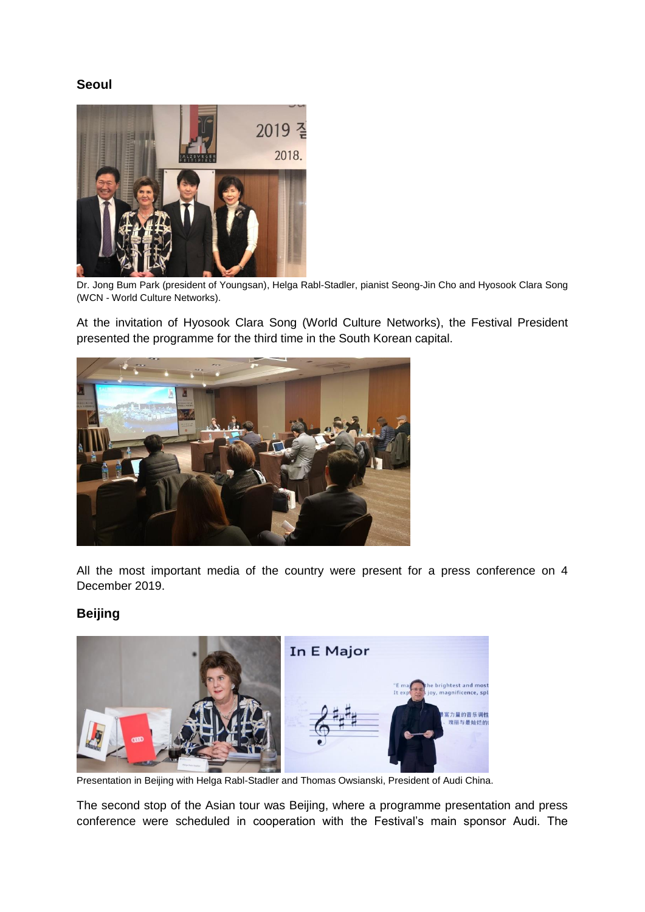## **Seoul**



Dr. Jong Bum Park (president of Youngsan), Helga Rabl-Stadler, pianist Seong-Jin Cho and Hyosook Clara Song (WCN - World Culture Networks).

At the invitation of Hyosook Clara Song (World Culture Networks), the Festival President presented the programme for the third time in the South Korean capital.



All the most important media of the country were present for a press conference on 4 December 2019.

## **Beijing**



Presentation in Beijing with Helga Rabl-Stadler and Thomas Owsianski, President of Audi China.

The second stop of the Asian tour was Beijing, where a programme presentation and press conference were scheduled in cooperation with the Festival's main sponsor Audi. The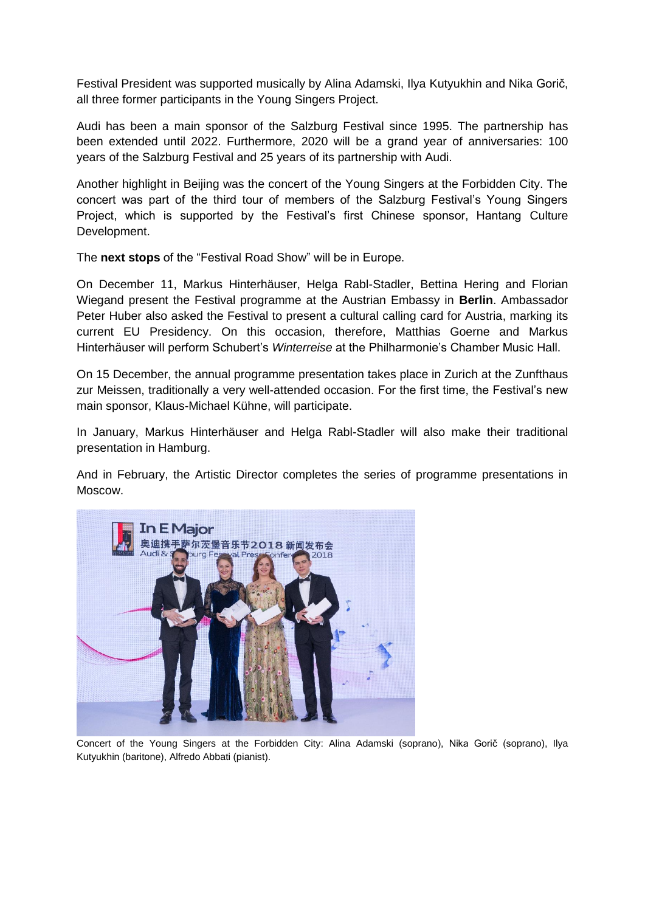Festival President was supported musically by Alina Adamski, Ilya Kutyukhin and Nika Gorič, all three former participants in the Young Singers Project.

Audi has been a main sponsor of the Salzburg Festival since 1995. The partnership has been extended until 2022. Furthermore, 2020 will be a grand year of anniversaries: 100 years of the Salzburg Festival and 25 years of its partnership with Audi.

Another highlight in Beijing was the concert of the Young Singers at the Forbidden City. The concert was part of the third tour of members of the Salzburg Festival's Young Singers Project, which is supported by the Festival's first Chinese sponsor, Hantang Culture Development.

The **next stops** of the "Festival Road Show" will be in Europe.

On December 11, Markus Hinterhäuser, Helga Rabl-Stadler, Bettina Hering and Florian Wiegand present the Festival programme at the Austrian Embassy in **Berlin**. Ambassador Peter Huber also asked the Festival to present a cultural calling card for Austria, marking its current EU Presidency. On this occasion, therefore, Matthias Goerne and Markus Hinterhäuser will perform Schubert's *Winterreise* at the Philharmonie's Chamber Music Hall.

On 15 December, the annual programme presentation takes place in Zurich at the Zunfthaus zur Meissen, traditionally a very well-attended occasion. For the first time, the Festival's new main sponsor, Klaus-Michael Kühne, will participate.

In January, Markus Hinterhäuser and Helga Rabl-Stadler will also make their traditional presentation in Hamburg.

And in February, the Artistic Director completes the series of programme presentations in Moscow.



Concert of the Young Singers at the Forbidden City: Alina Adamski (soprano), Nika Gorič (soprano), Ilya Kutyukhin (baritone), Alfredo Abbati (pianist).